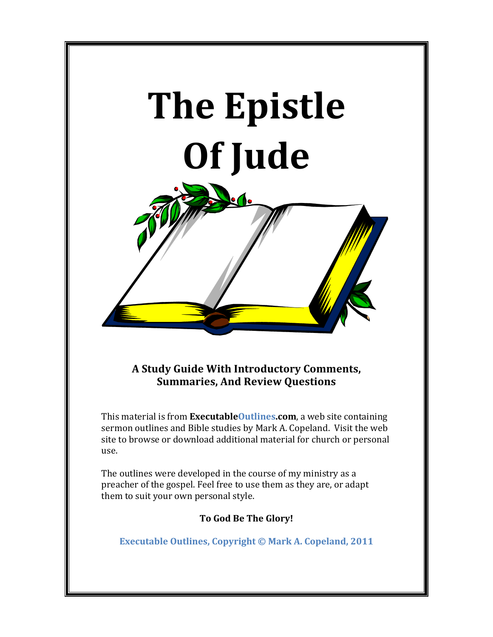

A Study Guide With Introductory Comments, **Summaries, And Review Questions** 

This material is from **ExecutableOutlines.com**, a web site containing sermon outlines and Bible studies by Mark A. Copeland. Visit the web site to browse or download additional material for church or personal use.

The outlines were developed in the course of my ministry as a preacher of the gospel. Feel free to use them as they are, or adapt them to suit your own personal style.

**To God Be The Glory!** 

**Executable Outlines, Copyright © Mark A. Copeland, 2011**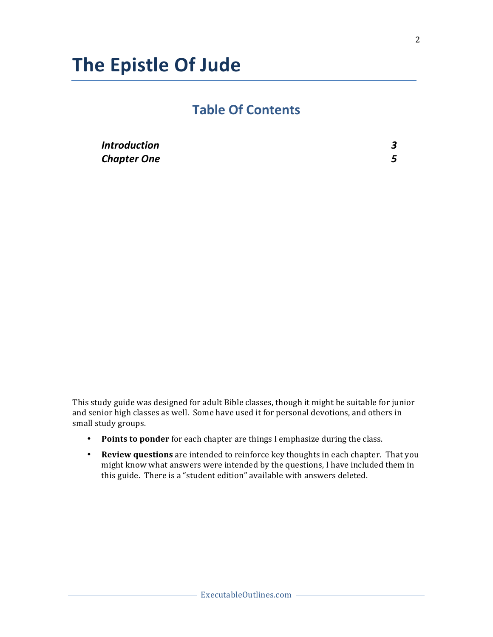# **The!Epistle!Of Jude**

# **Table!Of!Contents**

| <b>Introduction</b> |  |
|---------------------|--|
| <b>Chapter One</b>  |  |

This study guide was designed for adult Bible classes, though it might be suitable for junior and senior high classes as well. Some have used it for personal devotions, and others in small study groups.

- **Points to ponder** for each chapter are things I emphasize during the class.
- Review questions are intended to reinforce key thoughts in each chapter. That you might know what answers were intended by the questions, I have included them in this guide. There is a "student edition" available with answers deleted.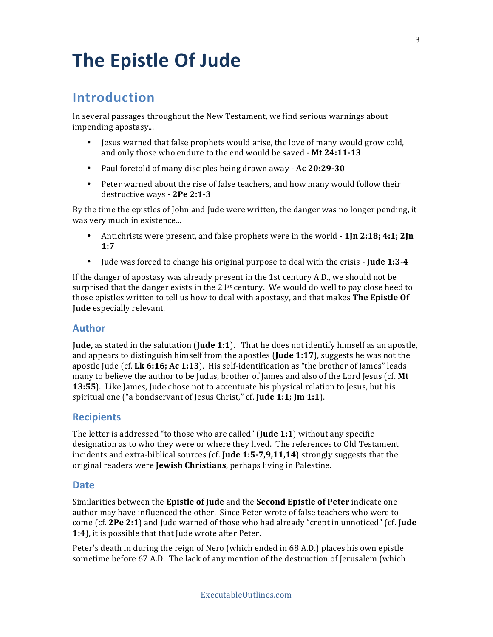# **The Epistle Of Jude**

# Introduction

In several passages throughout the New Testament, we find serious warnings about impending apostasy...

- Jesus warned that false prophets would arise, the love of many would grow cold, and only those who endure to the end would be saved - Mt 24:11-13
- Paul foretold of many disciples being drawn away Ac 20:29-30
- Peter warned about the rise of false teachers, and how many would follow their destructive ways - 2Pe 2:1-3

By the time the epistles of John and Jude were written, the danger was no longer pending, it was very much in existence...

- Antichrists were present, and false prophets were in the world 1Jn 2:18; 4:1; 2Jn  $\bullet$  $1:7$
- Jude was forced to change his original purpose to deal with the crisis Jude 1:3-4  $\bullet$

If the danger of apostasy was already present in the 1st century A.D., we should not be surprised that the danger exists in the 21st century. We would do well to pay close heed to those epistles written to tell us how to deal with apostasy, and that makes The Epistle Of Jude especially relevant.

### **Author**

Jude, as stated in the salutation (Jude 1:1). That he does not identify himself as an apostle, and appears to distinguish himself from the apostles (Jude 1:17), suggests he was not the apostle Jude (cf. Lk 6:16; Ac 1:13). His self-identification as "the brother of James" leads many to believe the author to be Judas, brother of James and also of the Lord Jesus (cf. Mt 13:55). Like James, Jude chose not to accentuate his physical relation to Jesus, but his spiritual one ("a bondservant of Jesus Christ," cf. Jude 1:1; Jm 1:1).

## **Recipients**

The letter is addressed "to those who are called" (Jude 1:1) without any specific designation as to who they were or where they lived. The references to Old Testament incidents and extra-biblical sources (cf. Jude 1:5-7,9,11,14) strongly suggests that the original readers were Jewish Christians, perhaps living in Palestine.

### **Date**

Similarities between the Epistle of Jude and the Second Epistle of Peter indicate one author may have influenced the other. Since Peter wrote of false teachers who were to come (cf. 2Pe 2:1) and Jude warned of those who had already "crept in unnoticed" (cf. Jude 1:4), it is possible that that Jude wrote after Peter.

Peter's death in during the reign of Nero (which ended in 68 A.D.) places his own epistle sometime before 67 A.D. The lack of any mention of the destruction of Jerusalem (which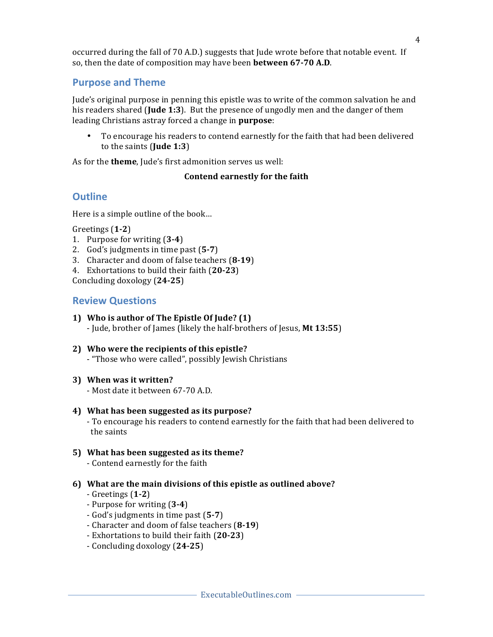## **Purpose and Theme**

Jude's original purpose in penning this epistle was to write of the common salvation he and his readers shared (**Jude 1:3**). But the presence of ungodly men and the danger of them leading Christians astray forced a change in purpose:

 $\bullet$ To encourage his readers to contend earnestly for the faith that had been delivered to the saints (Jude  $1:3$ )

As for the **theme**, Jude's first admonition serves us well:

## Contend earnestly for the faith

# **Outline**

Here is a simple outline of the book...

Greetings  $(1-2)$ 

- 1. Purpose for writing (3-4)
- 2. God's judgments in time past (5-7)
- 3. Character and doom of false teachers (8-19)
- 4. Exhortations to build their faith (20-23)

Concluding doxology  $(24-25)$ 

# **Review Questions**

- 1) Who is author of The Epistle Of Jude? (1)
	- Jude, brother of James (likely the half-brothers of Jesus, Mt 13:55)
- 2) Who were the recipients of this epistle?
	- "Those who were called", possibly Jewish Christians
- 3) When was it written?

- Most date it between 67-70 A.D.

4) What has been suggested as its purpose?

- To encourage his readers to contend earnestly for the faith that had been delivered to the saints

# 5) What has been suggested as its theme?

- Contend earnestly for the faith

## 6) What are the main divisions of this epistle as outlined above?

- Greetings  $(1-2)$
- Purpose for writing (3-4)
- God's judgments in time past (5-7)
- Character and doom of false teachers (8-19)
- Exhortations to build their faith (20-23)
- Concluding doxology (24-25)